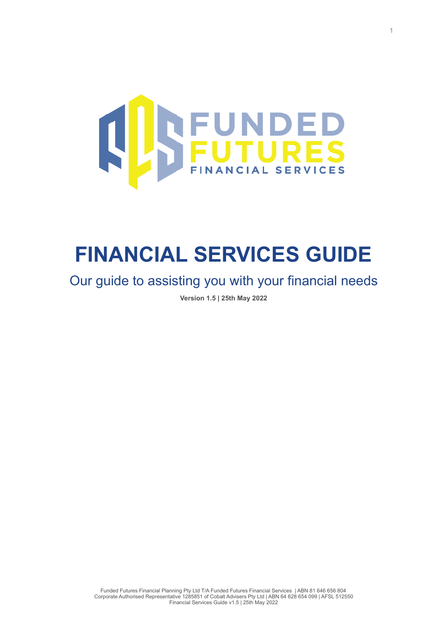

# **FINANCIAL SERVICES GUIDE**

Our guide to assisting you with your financial needs

**Version 1.5 | 25th May 2022**

Funded Futures Financial Planning Pty Ltd T/A Funded Futures Financial Services | ABN 81 646 656 804 Corporate Authorised Representative 1285851 of Cobalt Advisers Pty Ltd | ABN 64 628 654 099 | AFSL 512550 Financial Services Guide v1.5 | 25th May 2022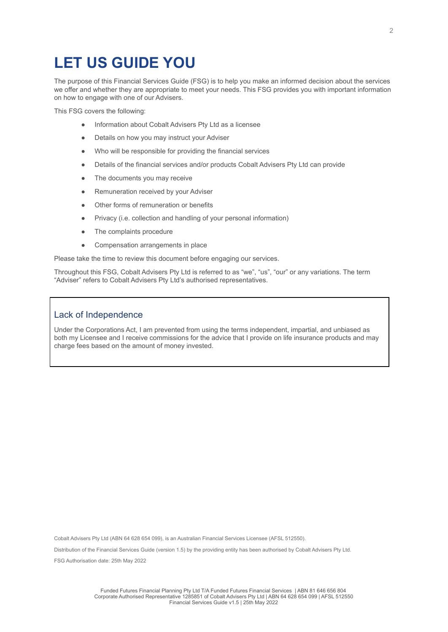### **LET US GUIDE YOU**

The purpose of this Financial Services Guide (FSG) is to help you make an informed decision about the services we offer and whether they are appropriate to meet your needs. This FSG provides you with important information on how to engage with one of our Advisers.

This FSG covers the following:

- Information about Cobalt Advisers Pty Ltd as a licensee
- Details on how you may instruct your Adviser
- Who will be responsible for providing the financial services
- Details of the financial services and/or products Cobalt Advisers Pty Ltd can provide
- The documents you may receive
- Remuneration received by your Adviser
- Other forms of remuneration or benefits
- Privacy (i.e. collection and handling of your personal information)
- The complaints procedure
- Compensation arrangements in place

Please take the time to review this document before engaging our services.

Throughout this FSG, Cobalt Advisers Pty Ltd is referred to as "we", "us", "our" or any variations. The term "Adviser" refers to Cobalt Advisers Pty Ltd's authorised representatives.

#### Lack of Independence

Under the Corporations Act, I am prevented from using the terms independent, impartial, and unbiased as both my Licensee and I receive commissions for the advice that I provide on life insurance products and may charge fees based on the amount of money invested.

Cobalt Advisers Pty Ltd (ABN 64 628 654 099), is an Australian Financial Services Licensee (AFSL 512550).

Distribution of the Financial Services Guide (version 1.5) by the providing entity has been authorised by Cobalt Advisers Pty Ltd. FSG Authorisation date: 25th May 2022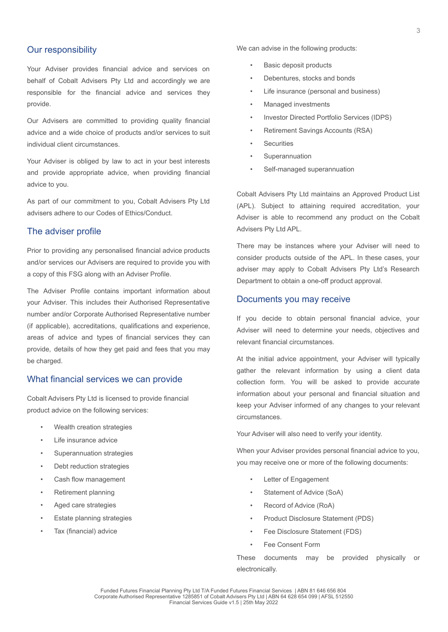#### Our responsibility

Your Adviser provides financial advice and services on behalf of Cobalt Advisers Pty Ltd and accordingly we are responsible for the financial advice and services they provide.

Our Advisers are committed to providing quality financial advice and a wide choice of products and/or services to suit individual client circumstances.

Your Adviser is obliged by law to act in your best interests and provide appropriate advice, when providing financial advice to you.

As part of our commitment to you, Cobalt Advisers Pty Ltd advisers adhere to our Codes of Ethics/Conduct.

#### The adviser profile

Prior to providing any personalised financial advice products and/or services our Advisers are required to provide you with a copy of this FSG along with an Adviser Profile.

The Adviser Profile contains important information about your Adviser. This includes their Authorised Representative number and/or Corporate Authorised Representative number (if applicable), accreditations, qualifications and experience, areas of advice and types of financial services they can provide, details of how they get paid and fees that you may be charged.

#### What financial services we can provide

Cobalt Advisers Pty Ltd is licensed to provide financial product advice on the following services:

- Wealth creation strategies
- Life insurance advice
- Superannuation strategies
- Debt reduction strategies
- Cash flow management
- Retirement planning
- Aged care strategies
- **Estate planning strategies**
- Tax (financial) advice

We can advise in the following products:

- Basic deposit products
- Debentures, stocks and bonds
- Life insurance (personal and business)
- Managed investments
- Investor Directed Portfolio Services (IDPS)
- Retirement Savings Accounts (RSA)
- **Securities**
- **Superannuation**
- Self-managed superannuation

Cobalt Advisers Pty Ltd maintains an Approved Product List (APL). Subject to attaining required accreditation, your Adviser is able to recommend any product on the Cobalt Advisers Pty Ltd APL.

There may be instances where your Adviser will need to consider products outside of the APL. In these cases, your adviser may apply to Cobalt Advisers Pty Ltd's Research Department to obtain a one-off product approval.

#### Documents you may receive

If you decide to obtain personal financial advice, your Adviser will need to determine your needs, objectives and relevant financial circumstances.

At the initial advice appointment, your Adviser will typically gather the relevant information by using a client data collection form. You will be asked to provide accurate information about your personal and financial situation and keep your Adviser informed of any changes to your relevant circumstances.

Your Adviser will also need to verify your identity.

When your Adviser provides personal financial advice to you, you may receive one or more of the following documents:

- Letter of Engagement
- Statement of Advice (SoA)
- Record of Advice (RoA)
- Product Disclosure Statement (PDS)
- Fee Disclosure Statement (FDS)
- Fee Consent Form

These documents may be provided physically or electronically.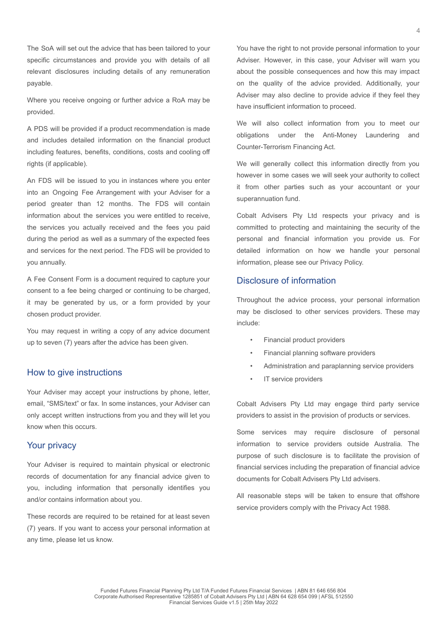The SoA will set out the advice that has been tailored to your specific circumstances and provide you with details of all relevant disclosures including details of any remuneration payable.

Where you receive ongoing or further advice a RoA may be provided.

A PDS will be provided if a product recommendation is made and includes detailed information on the financial product including features, benefits, conditions, costs and cooling off rights (if applicable).

An FDS will be issued to you in instances where you enter into an Ongoing Fee Arrangement with your Adviser for a period greater than 12 months. The FDS will contain information about the services you were entitled to receive, the services you actually received and the fees you paid during the period as well as a summary of the expected fees and services for the next period. The FDS will be provided to you annually.

A Fee Consent Form is a document required to capture your consent to a fee being charged or continuing to be charged, it may be generated by us, or a form provided by your chosen product provider.

You may request in writing a copy of any advice document up to seven (7) years after the advice has been given.

#### How to give instructions

Your Adviser may accept your instructions by phone, letter, email, "SMS/text" or fax. In some instances, your Adviser can only accept written instructions from you and they will let you know when this occurs.

#### Your privacy

Your Adviser is required to maintain physical or electronic records of documentation for any financial advice given to you, including information that personally identifies you and/or contains information about you.

These records are required to be retained for at least seven (7) years. If you want to access your personal information at any time, please let us know.

You have the right to not provide personal information to your Adviser. However, in this case, your Adviser will warn you about the possible consequences and how this may impact on the quality of the advice provided. Additionally, your Adviser may also decline to provide advice if they feel they have insufficient information to proceed.

We will also collect information from you to meet our obligations under the Anti-Money Laundering and Counter-Terrorism Financing Act.

We will generally collect this information directly from you however in some cases we will seek your authority to collect it from other parties such as your accountant or your superannuation fund.

Cobalt Advisers Pty Ltd respects your privacy and is committed to protecting and maintaining the security of the personal and financial information you provide us. For detailed information on how we handle your personal information, please see our Privacy Policy.

#### Disclosure of information

Throughout the advice process, your personal information may be disclosed to other services providers. These may include:

- Financial product providers
- Financial planning software providers
- Administration and paraplanning service providers
- IT service providers

Cobalt Advisers Pty Ltd may engage third party service providers to assist in the provision of products or services.

Some services may require disclosure of personal information to service providers outside Australia. The purpose of such disclosure is to facilitate the provision of financial services including the preparation of financial advice documents for Cobalt Advisers Pty Ltd advisers.

All reasonable steps will be taken to ensure that offshore service providers comply with the Privacy Act 1988.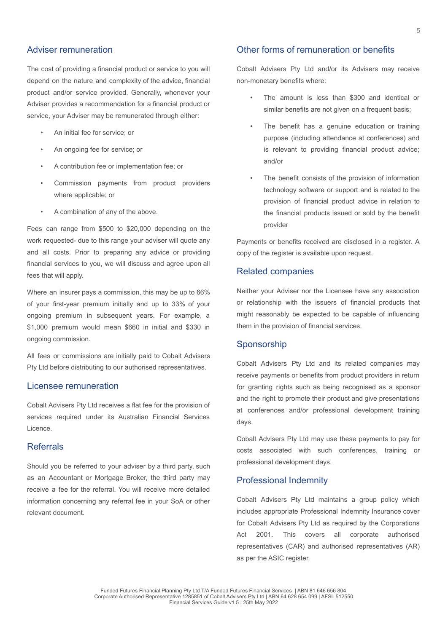#### Adviser remuneration

The cost of providing a financial product or service to you will depend on the nature and complexity of the advice, financial product and/or service provided. Generally, whenever your Adviser provides a recommendation for a financial product or service, your Adviser may be remunerated through either:

- An initial fee for service; or
- An ongoing fee for service; or
- A contribution fee or implementation fee; or
- Commission payments from product providers where applicable; or
- A combination of any of the above.

Fees can range from \$500 to \$20,000 depending on the work requested- due to this range your adviser will quote any and all costs. Prior to preparing any advice or providing financial services to you, we will discuss and agree upon all fees that will apply.

Where an insurer pays a commission, this may be up to 66% of your first-year premium initially and up to 33% of your ongoing premium in subsequent years. For example, a \$1,000 premium would mean \$660 in initial and \$330 in ongoing commission.

All fees or commissions are initially paid to Cobalt Advisers Pty Ltd before distributing to our authorised representatives.

#### Licensee remuneration

Cobalt Advisers Pty Ltd receives a flat fee for the provision of services required under its Australian Financial Services Licence.

#### Referrals

Should you be referred to your adviser by a third party, such as an Accountant or Mortgage Broker, the third party may receive a fee for the referral. You will receive more detailed information concerning any referral fee in your SoA or other relevant document.

#### Other forms of remuneration or benefits

Cobalt Advisers Pty Ltd and/or its Advisers may receive non-monetary benefits where:

- The amount is less than \$300 and identical or similar benefits are not given on a frequent basis;
- The benefit has a genuine education or training purpose (including attendance at conferences) and is relevant to providing financial product advice; and/or
- The benefit consists of the provision of information technology software or support and is related to the provision of financial product advice in relation to the financial products issued or sold by the benefit provider

Payments or benefits received are disclosed in a register. A copy of the register is available upon request.

#### Related companies

Neither your Adviser nor the Licensee have any association or relationship with the issuers of financial products that might reasonably be expected to be capable of influencing them in the provision of financial services.

#### Sponsorship

Cobalt Advisers Pty Ltd and its related companies may receive payments or benefits from product providers in return for granting rights such as being recognised as a sponsor and the right to promote their product and give presentations at conferences and/or professional development training days.

Cobalt Advisers Pty Ltd may use these payments to pay for costs associated with such conferences, training or professional development days.

#### Professional Indemnity

Cobalt Advisers Pty Ltd maintains a group policy which includes appropriate Professional Indemnity Insurance cover for Cobalt Advisers Pty Ltd as required by the Corporations Act 2001. This covers all corporate authorised representatives (CAR) and authorised representatives (AR) as per the ASIC register.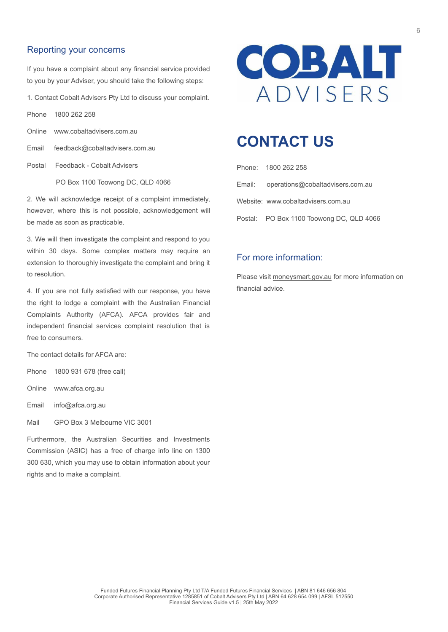#### Reporting your concerns

If you have a complaint about any financial service provided to you by your Adviser, you should take the following steps:

1. Contact Cobalt Advisers Pty Ltd to discuss your complaint.

Phone 1800 262 258

- Online www.cobaltadvisers.com.au
- Email feedback@cobaltadvisers.com.au

Postal Feedback - Cobalt Advisers

PO Box 1100 Toowong DC, QLD 4066

2. We will acknowledge receipt of a complaint immediately, however, where this is not possible, acknowledgement will be made as soon as practicable.

3. We will then investigate the complaint and respond to you within 30 days. Some complex matters may require an extension to thoroughly investigate the complaint and bring it to resolution.

4. If you are not fully satisfied with our response, you have the right to lodge a complaint with the Australian Financial Complaints Authority (AFCA). AFCA provides fair and independent financial services complaint resolution that is free to consumers.

The contact details for AFCA are:

Phone 1800 931 678 (free call)

Online www.afca.org.au

Email info@afca.org.au

Mail GPO Box 3 Melbourne VIC 3001

Furthermore, the Australian Securities and Investments Commission (ASIC) has a free of charge info line on 1300 300 630, which you may use to obtain information about your rights and to make a complaint.



### **CONTACT US**

| Phone: 1800 262 258                      |
|------------------------------------------|
| Email: operations@cobaltadvisers.com.au  |
| Website: www.cobaltadvisers.com.au       |
| Postal: PO Box 1100 Toowong DC, QLD 4066 |

#### For more information:

Please visit moneysmart.gov.au for more information on financial advice.